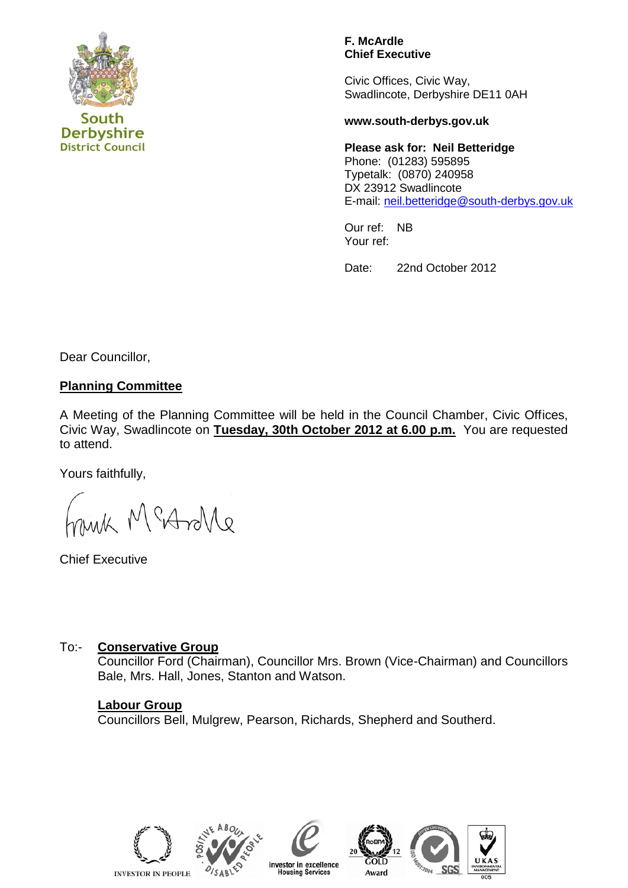

**District Council** 

#### **F. McArdle Chief Executive**

Civic Offices, Civic Way, Swadlincote, Derbyshire DE11 0AH

#### **www.south-derbys.gov.uk**

**Please ask for: Neil Betteridge** Phone: (01283) 595895 Typetalk: (0870) 240958 DX 23912 Swadlincote E-mail: [neil.betteridge@south-derbys.gov.uk](mailto:debra.towndsend@south-derbys.gov.uk) 

Our ref: NB Your ref:

Date: 22nd October 2012

Dear Councillor,

## **Planning Committee**

A Meeting of the Planning Committee will be held in the Council Chamber, Civic Offices, Civic Way, Swadlincote on **Tuesday, 30th October 2012 at 6.00 p.m.** You are requested to attend.

Yours faithfully,

M MeAnle

Chief Executive

## To:- **Conservative Group**

Councillor Ford (Chairman), Councillor Mrs. Brown (Vice-Chairman) and Councillors Bale, Mrs. Hall, Jones, Stanton and Watson.

## **Labour Group**

Councillors Bell, Mulgrew, Pearson, Richards, Shepherd and Southerd.







investor in excellence<br>Housing Services